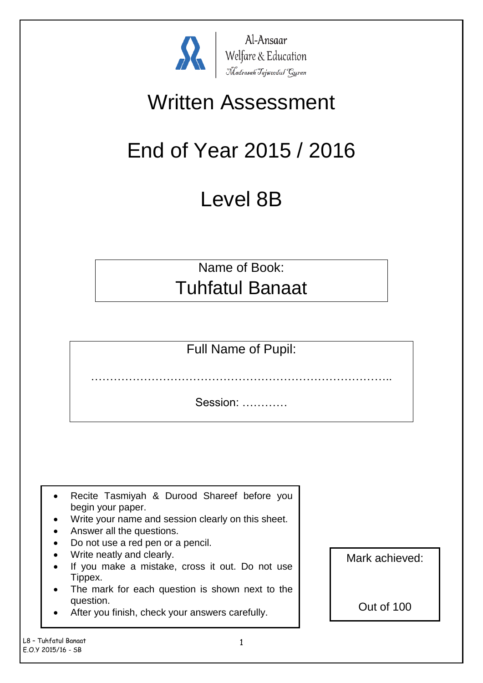

Al-Ansaar Al-Ansaar<br>Welfare & Education<br>Madrasah Tajweedul Guran

## Written Assessment

# End of Year 2015 / 2016

## Level 8B

Name of Book: Tuhfatul Banaat

Full Name of Pupil:

……………………………………………………………………..

Session: …………

- Recite Tasmiyah & Durood Shareef before you begin your paper.
- Write your name and session clearly on this sheet.
- Answer all the questions.
- Do not use a red pen or a pencil.
- Write neatly and clearly.
- If you make a mistake, cross it out. Do not use Tippex.
- The mark for each question is shown next to the question.
- After you finish, check your answers carefully.

Mark achieved:

Out of 100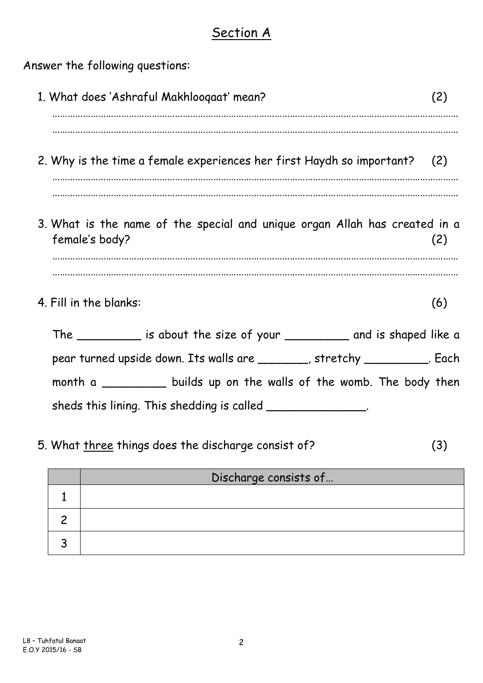#### Section A

Answer the following questions:

| 1. What does 'Ashraful Makhloogaat' mean?                                                    | (2) |
|----------------------------------------------------------------------------------------------|-----|
| 2. Why is the time a female experiences her first Haydh so important? (2)                    |     |
| 3. What is the name of the special and unique organ Allah has created in a<br>female's body? | (2) |
| 4. Fill in the blanks:                                                                       | (6) |
| The ___________ is about the size of your _____________ and is shaped like a                 |     |
| pear turned upside down. Its walls are with the stretchy with the Each                       |     |
| month a ____________ builds up on the walls of the womb. The body then                       |     |
| sheds this lining. This shedding is called ________________.                                 |     |

5. What three things does the discharge consist of? (3)

| Discharge consists of |
|-----------------------|
|                       |
|                       |
|                       |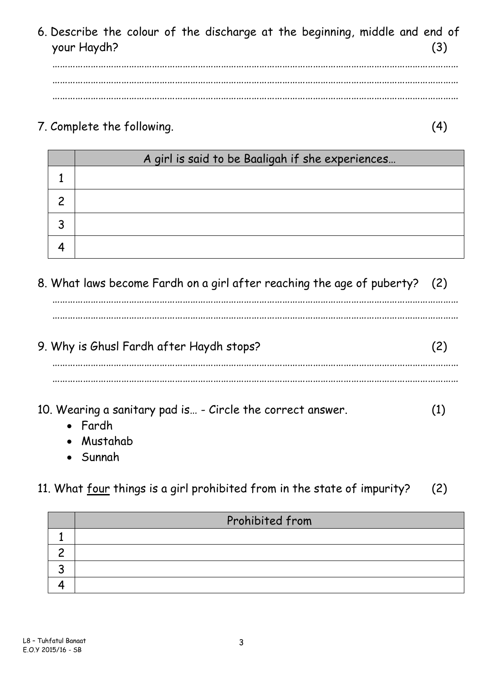6. Describe the colour of the discharge at the beginning, middle and end of your Haydh? (3)

…………………………………………………………………………………………………………………………………………… …………………………………………………………………………………………………………………………………………… ……………………………………………………………………………………………………………………………………………

7. Complete the following. (4)

| A girl is said to be Baaligah if she experiences |
|--------------------------------------------------|
|                                                  |
|                                                  |
|                                                  |
|                                                  |

8. What laws become Fardh on a girl after reaching the age of puberty? (2)

……………………………………………………………………………………………………………………………………………

9. Why is Ghusl Fardh after Haydh stops? (2)

……………………………………………………………………………………………………………………………………………

……………………………………………………………………………………………………………………………………………

……………………………………………………………………………………………………………………………………………

10. Wearing a sanitary pad is… - Circle the correct answer. (1)

- Fardh
- Mustahab
- Sunnah

11. What four things is a girl prohibited from in the state of impurity? (2)

| Prohibited from |
|-----------------|
|                 |
|                 |
|                 |
|                 |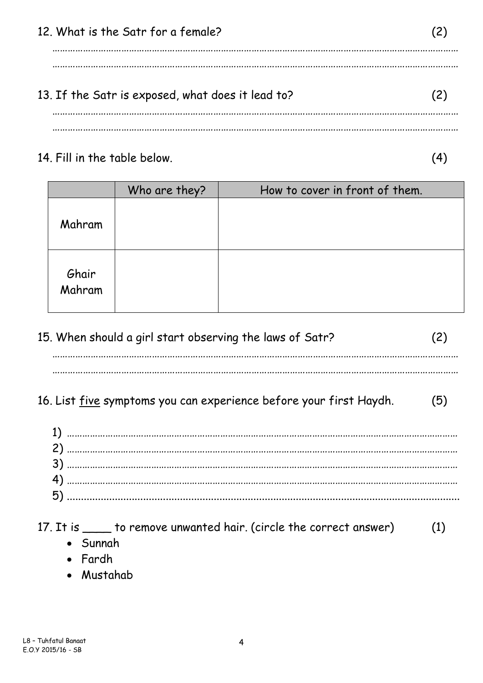12. What is the Satr for a female? (2) …………………………………………………………………………………………………………………………………………… …………………………………………………………………………………………………………………………………………… 13. If the Satr is exposed, what does it lead to? (2) …………………………………………………………………………………………………………………………………………… ……………………………………………………………………………………………………………………………………………

#### 14. Fill in the table below. (4)

|                 | Who are they? | How to cover in front of them. |
|-----------------|---------------|--------------------------------|
| Mahram          |               |                                |
| Ghair<br>Mahram |               |                                |

| 15. When should a girl start observing the laws of Satr? |  |
|----------------------------------------------------------|--|
|                                                          |  |

## 16. List five symptoms you can experience before your first Haydh. (5)

| $17.$ It is | to remove unwanted hair. (circle the correct answer) | (1) |
|-------------|------------------------------------------------------|-----|
|-------------|------------------------------------------------------|-----|

- Sunnah
- Fardh
- Mustahab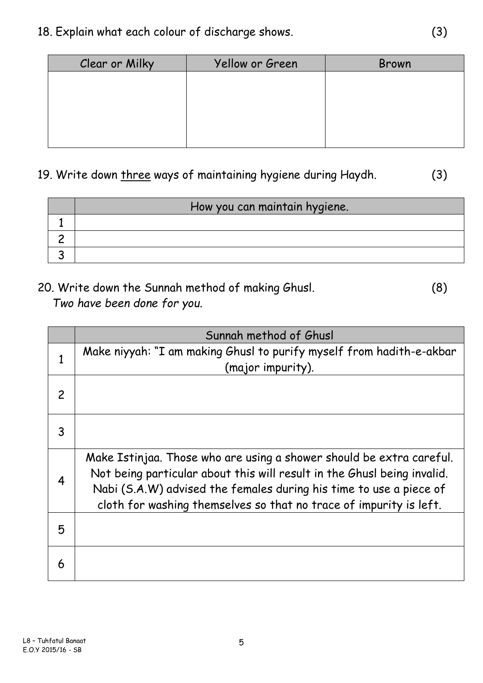| Clear or Milky | Yellow or Green | Brown |
|----------------|-----------------|-------|
|                |                 |       |
|                |                 |       |
|                |                 |       |
|                |                 |       |
|                |                 |       |

## 19. Write down three ways of maintaining hygiene during Haydh. (3)

| How you can maintain hygiene. |
|-------------------------------|
|                               |
|                               |
|                               |
|                               |

### 20. Write down the Sunnah method of making Ghusl. (8) *Two have been done for you.*

|               | Sunnah method of Ghusl                                                                                                                                                                                                                                                                      |
|---------------|---------------------------------------------------------------------------------------------------------------------------------------------------------------------------------------------------------------------------------------------------------------------------------------------|
|               | Make niyyah: "I am making Ghusl to purify myself from hadith-e-akbar<br>(major impurity).                                                                                                                                                                                                   |
| $\mathcal{P}$ |                                                                                                                                                                                                                                                                                             |
| 3             |                                                                                                                                                                                                                                                                                             |
| 4             | Make Istinjaa. Those who are using a shower should be extra careful.<br>Not being particular about this will result in the Ghusl being invalid.<br>Nabi (S.A.W) advised the females during his time to use a piece of<br>cloth for washing themselves so that no trace of impurity is left. |
| 5             |                                                                                                                                                                                                                                                                                             |
| 6             |                                                                                                                                                                                                                                                                                             |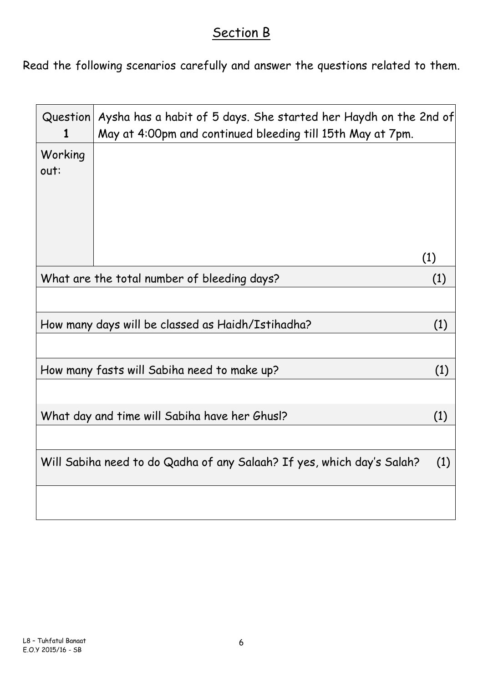### Section B

Read the following scenarios carefully and answer the questions related to them.

| Question<br>1                                        | Aysha has a habit of 5 days. She started her Haydh on the 2nd of<br>May at 4:00pm and continued bleeding till 15th May at 7pm. |     |  |  |
|------------------------------------------------------|--------------------------------------------------------------------------------------------------------------------------------|-----|--|--|
| Working<br>out:                                      |                                                                                                                                |     |  |  |
|                                                      |                                                                                                                                | (1) |  |  |
|                                                      | What are the total number of bleeding days?<br>(1)                                                                             |     |  |  |
|                                                      |                                                                                                                                |     |  |  |
|                                                      | How many days will be classed as Haidh/Istihadha?                                                                              | (1) |  |  |
|                                                      |                                                                                                                                |     |  |  |
|                                                      | How many fasts will Sabiha need to make up?<br>(1)                                                                             |     |  |  |
|                                                      |                                                                                                                                |     |  |  |
| What day and time will Sabiha have her Ghus!?<br>(1) |                                                                                                                                |     |  |  |
|                                                      |                                                                                                                                |     |  |  |
|                                                      | Will Sabiha need to do Qadha of any Salaah? If yes, which day's Salah?                                                         | (1) |  |  |
|                                                      |                                                                                                                                |     |  |  |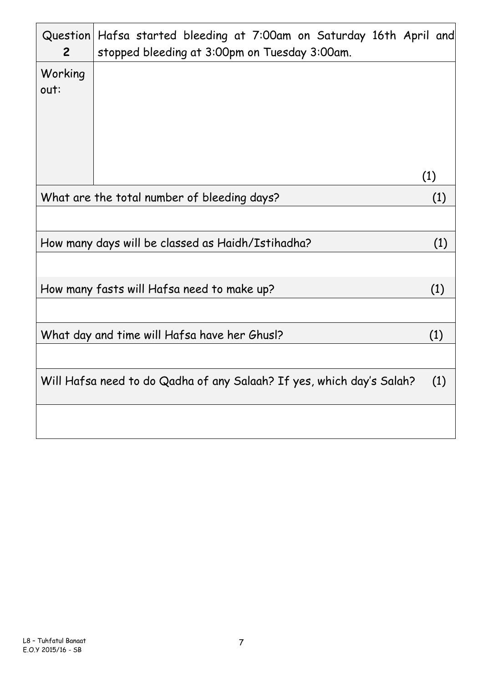| $\overline{2}$                                      | Question Hafsa started bleeding at 7:00am on Saturday 16th April and<br>stopped bleeding at 3:00pm on Tuesday 3:00am. |     |
|-----------------------------------------------------|-----------------------------------------------------------------------------------------------------------------------|-----|
| Working<br>out:                                     |                                                                                                                       |     |
|                                                     |                                                                                                                       | (1) |
|                                                     | What are the total number of bleeding days?                                                                           | (1) |
|                                                     |                                                                                                                       |     |
|                                                     | How many days will be classed as Haidh/Istihadha?                                                                     | (1) |
|                                                     |                                                                                                                       |     |
|                                                     | How many fasts will Hafsa need to make up?                                                                            | (1) |
|                                                     |                                                                                                                       |     |
| What day and time will Hafsa have her Ghus!?<br>(1) |                                                                                                                       |     |
|                                                     |                                                                                                                       |     |
|                                                     | Will Hafsa need to do Qadha of any Salaah? If yes, which day's Salah?                                                 | (1) |
|                                                     |                                                                                                                       |     |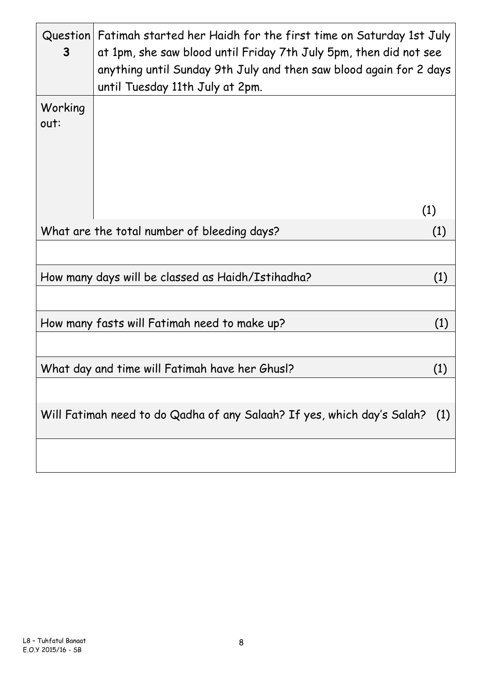| Question<br>3   | Fatimah started her Haidh for the first time on Saturday 1st July<br>at 1pm, she saw blood until Friday 7th July 5pm, then did not see<br>anything until Sunday 9th July and then saw blood again for 2 days<br>until Tuesday 11th July at 2pm. |     |
|-----------------|-------------------------------------------------------------------------------------------------------------------------------------------------------------------------------------------------------------------------------------------------|-----|
| Working<br>out: |                                                                                                                                                                                                                                                 |     |
|                 |                                                                                                                                                                                                                                                 | (1) |
|                 | What are the total number of bleeding days?                                                                                                                                                                                                     | (1) |
|                 |                                                                                                                                                                                                                                                 |     |
|                 | How many days will be classed as Haidh/Istihadha?                                                                                                                                                                                               | (1) |
|                 |                                                                                                                                                                                                                                                 |     |
|                 | How many fasts will Fatimah need to make up?                                                                                                                                                                                                    | (1) |
|                 |                                                                                                                                                                                                                                                 |     |
|                 | What day and time will Fatimah have her Ghus!?                                                                                                                                                                                                  | (1) |
|                 |                                                                                                                                                                                                                                                 |     |
|                 | Will Fatimah need to do Qadha of any Salaah? If yes, which day's Salah?                                                                                                                                                                         | (1) |
|                 |                                                                                                                                                                                                                                                 |     |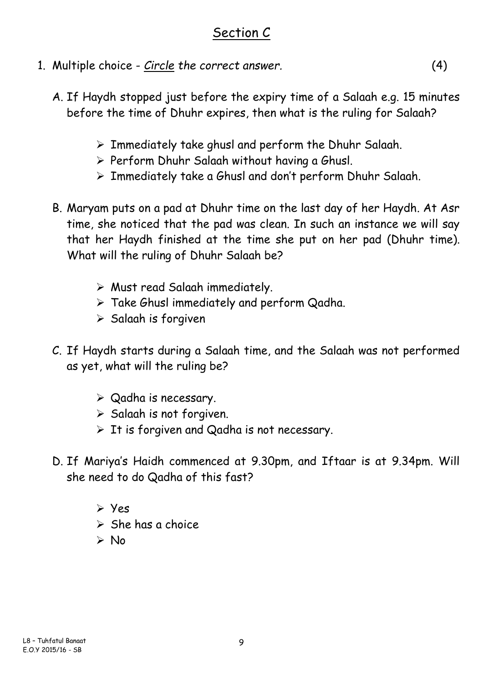### Section C

- 1. Multiple choice *Circle the correct answer.* (4)
	- A. If Haydh stopped just before the expiry time of a Salaah e.g. 15 minutes before the time of Dhuhr expires, then what is the ruling for Salaah?
		- ➢ Immediately take ghusl and perform the Dhuhr Salaah.
		- ➢ Perform Dhuhr Salaah without having a Ghusl.
		- ➢ Immediately take a Ghusl and don't perform Dhuhr Salaah.
	- B. Maryam puts on a pad at Dhuhr time on the last day of her Haydh. At Asr time, she noticed that the pad was clean. In such an instance we will say that her Haydh finished at the time she put on her pad (Dhuhr time). What will the ruling of Dhuhr Salaah be?
		- ➢ Must read Salaah immediately.
		- ➢ Take Ghusl immediately and perform Qadha.
		- ➢ Salaah is forgiven
	- C. If Haydh starts during a Salaah time, and the Salaah was not performed as yet, what will the ruling be?
		- ➢ Qadha is necessary.
		- ➢ Salaah is not forgiven.
		- $\triangleright$  It is forgiven and Qadha is not necessary.
	- D. If Mariya's Haidh commenced at 9.30pm, and Iftaar is at 9.34pm. Will she need to do Qadha of this fast?
		- ➢ Yes
		- $\triangleright$  She has a choice
		- ➢ No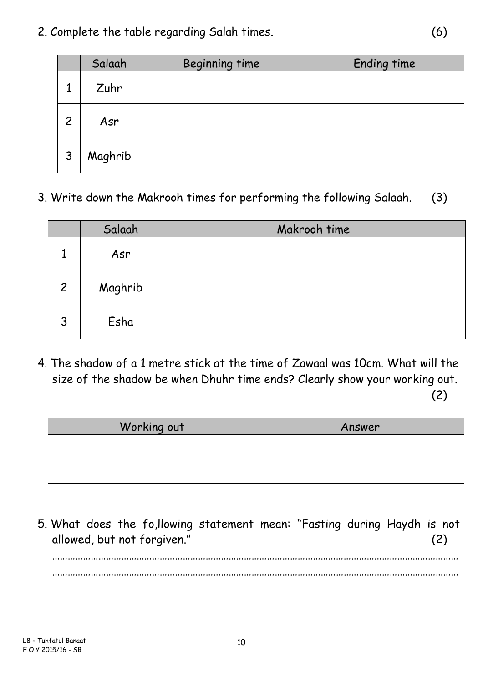2. Complete the table regarding Salah times. (6)

|                | Salaah  | Beginning time | Ending time |
|----------------|---------|----------------|-------------|
|                | Zuhr    |                |             |
| $\overline{c}$ | Asr     |                |             |
| 3              | Maghrib |                |             |

3. Write down the Makrooh times for performing the following Salaah. (3)

|                | Salaah  | Makrooh time |
|----------------|---------|--------------|
|                | Asr     |              |
| $\overline{2}$ | Maghrib |              |
| ્ર             | Esha    |              |

4. The shadow of a 1 metre stick at the time of Zawaal was 10cm. What will the size of the shadow be when Dhuhr time ends? Clearly show your working out.

(2)

| Working out | Answer |
|-------------|--------|
|             |        |
|             |        |
|             |        |

5. What does the fo,llowing statement mean: "Fasting during Haydh is not allowed, but not forgiven." (2)

…………………………………………………………………………………………………………………………………………… ……………………………………………………………………………………………………………………………………………